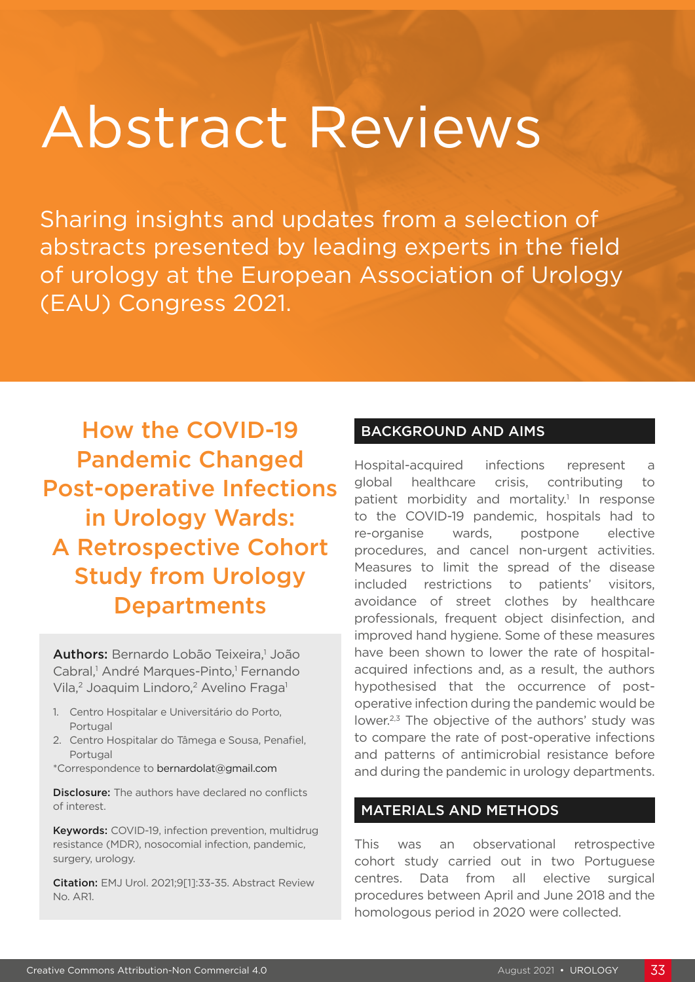# Abstract Reviews

Sharing insights and updates from a selection of abstracts presented by leading experts in the field of urology at the European Association of Urology (EAU) Congress 2021.

How the COVID-19 Pandemic Changed Post-operative Infections in Urology Wards: A Retrospective Cohort Study from Urology **Departments** 

Authors: Bernardo Lobão Teixeira,<sup>1</sup> João Cabral,<sup>1</sup> André Marques-Pinto,<sup>1</sup> Fernando Vila,<sup>2</sup> Joaquim Lindoro,<sup>2</sup> Avelino Fraga<sup>1</sup>

- 1. Centro Hospitalar e Universitário do Porto, Portugal
- 2. Centro Hospitalar do Tâmega e Sousa, Penafiel, Portugal
- \*Correspondence to bernardolat@gmail.com

**Disclosure:** The authors have declared no conflicts of interest.

Keywords: COVID-19, infection prevention, multidrug resistance (MDR), nosocomial infection, pandemic, surgery, urology.

Citation: EMJ Urol. 2021;9[1]:33-35. Abstract Review No. AR1.

## BACKGROUND AND AIMS

Hospital-acquired infections represent a global healthcare crisis, contributing to patient morbidity and mortality.<sup>1</sup> In response to the COVID-19 pandemic, hospitals had to re-organise wards, postpone elective procedures, and cancel non-urgent activities. Measures to limit the spread of the disease included restrictions to patients' visitors, avoidance of street clothes by healthcare professionals, frequent object disinfection, and improved hand hygiene. Some of these measures have been shown to lower the rate of hospitalacquired infections and, as a result, the authors hypothesised that the occurrence of postoperative infection during the pandemic would be lower.<sup>2,3</sup> The objective of the authors' study was to compare the rate of post-operative infections and patterns of antimicrobial resistance before and during the pandemic in urology departments.

### MATERIALS AND METHODS

This was an observational retrospective cohort study carried out in two Portuguese centres. Data from all elective surgical procedures between April and June 2018 and the homologous period in 2020 were collected.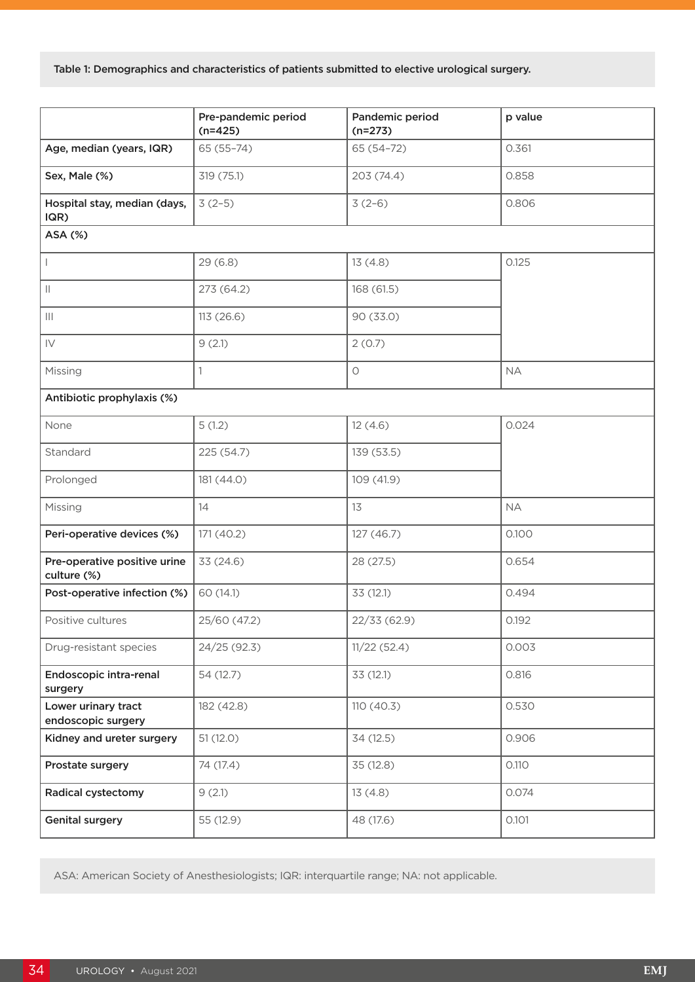Table 1: Demographics and characteristics of patients submitted to elective urological surgery.

|                                             | Pre-pandemic period<br>$(n=425)$ | Pandemic period<br>$(n=273)$ | p value   |
|---------------------------------------------|----------------------------------|------------------------------|-----------|
| Age, median (years, IQR)                    | $65(55-74)$                      | 65 (54-72)                   | 0.361     |
| Sex, Male (%)                               | 319 (75.1)                       | 203 (74.4)                   | 0.858     |
| Hospital stay, median (days,<br>IQR)        | $3(2-5)$                         | $3(2-6)$                     | 0.806     |
| ASA (%)                                     |                                  |                              |           |
| $\mathbf{I}$                                | 29(6.8)                          | 13(4.8)                      | 0.125     |
| $\mathbb{H}$                                | 273 (64.2)                       | 168 (61.5)                   |           |
| $\vert\vert\vert$                           | 113 (26.6)                       | 90 (33.0)                    |           |
| $\mathsf{IV}$                               | 9(2.1)                           | 2(0.7)                       |           |
| Missing                                     | 1                                | $\bigcirc$                   | <b>NA</b> |
| Antibiotic prophylaxis (%)                  |                                  |                              |           |
| None                                        | 5(1.2)                           | 12(4.6)                      | 0.024     |
| Standard                                    | 225 (54.7)                       | 139 (53.5)                   |           |
| Prolonged                                   | 181 (44.0)                       | 109 (41.9)                   |           |
| Missing                                     | 14                               | 13                           | <b>NA</b> |
| Peri-operative devices (%)                  | 171 (40.2)                       | 127 (46.7)                   | 0.100     |
| Pre-operative positive urine<br>culture (%) | 33 (24.6)                        | 28 (27.5)                    | 0.654     |
| Post-operative infection (%)                | 60 (14.1)                        | 33 (12.1)                    | 0.494     |
| Positive cultures                           | 25/60 (47.2)                     | 22/33 (62.9)                 | 0.192     |
| Drug-resistant species                      | 24/25 (92.3)                     | 11/22(52.4)                  | 0.003     |
| Endoscopic intra-renal<br>surgery           | 54 (12.7)                        | 33 (12.1)                    | 0.816     |
| Lower urinary tract<br>endoscopic surgery   | 182 (42.8)                       | 110 (40.3)                   | 0.530     |
| Kidney and ureter surgery                   | 51(12.0)                         | 34 (12.5)                    | 0.906     |
| Prostate surgery                            | 74 (17.4)                        | 35 (12.8)                    | 0.110     |
| <b>Radical cystectomy</b>                   | 9(2.1)                           | 13(4.8)                      | 0.074     |
| <b>Genital surgery</b>                      | 55 (12.9)                        | 48 (17.6)                    | 0.101     |

ASA: American Society of Anesthesiologists; IQR: interquartile range; NA: not applicable.